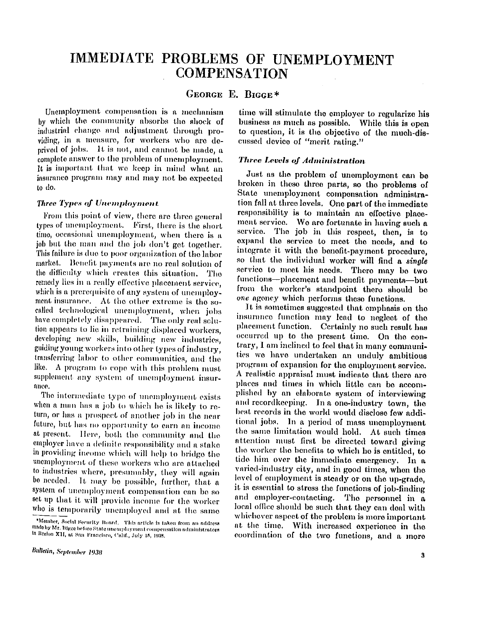# **IMMEDIATE PROBLEMS OF UNEMPLOYMENT COMPENSATION**

# **GEORG E E . BIGGE \***

**Unemployment compensation is a mechanism by which the community absorbs the shock of industrial change and adjustment through providing, in a measure, for workers who are deprived of jobs. It is not, and cannot be made, a complete answer to the problem of unemployment. It is important that we keep in mind what an insurance program may and may not be expected to do.** 

#### *Three Types of Unemployment*

**From this point of view, there are three general types of unemployment. First, there is the short time, occasional unemployment, when there is a job but the man and the job don't get together. This failure is due to poor organization of the labor market. Benefit payments are no real solution of the difficulty which creates this situation. The remedy lies in a really effective placement service, which is a prerequisite of any system of unemployment insurance. At the other extreme is the socalled technological unemployment, when jobs have completely disappeared. The only real solution appears to lie in retraining displaced workers, developing new skills, building new industries, guiding young workers into other types of industry, transferring labor to other communities, and the like. A program to cope with this problem must supplement any system of unemployment insurance.** 

**The intermediate type of unemployment exists when a man has a job to which he is likely to return, or has a prospect of another job in the near future, but has no opportunity to earn an income at present. Here, both the community and the employer have a definite responsibility and a stake in providing income which will help to bridge the unemployment of these workers who are attached to industries where, presumably, they will again be needed. It may be possible, further, that a system of unemployment compensation can be so set up that it will provide income for the worker who is temporarily unemployed and at the same** 

**time will stimulate the employer to regularize his business as much as possible. While this is open to question, it is the objective of the much-discussed device of "merit rating."** 

### *Three Levels of Administration*

**Just as the problem of unemployment can be broken in these three parts, so the problems of State unemployment compensation administration fall at three levels. One part of the immediate responsibility is to maintain an effective placement service. We are fortunate in having such a service. The job in this respect, then, is to expand the service to meet the needs, and to integrate it with the benefit-payment procedure, so that the individual worker will find a** *single*  **service to meet his needs. There may be two functions—placement and benefit payments—but from the worker's standpoint there should be**  *one* **agency which performs these functions.** 

**It is sometimes suggested that emphasis on the insurance function may lead to neglect of the placement function. Certainly no such result has occurred up to the present time. On the contrary, I am inclined to feel that in many communities we have undertaken an unduly ambitious program of expansion for the employment service. A realistic appraisal must indicate that there are places and times in which little can be accomplished by an elaborate system of interviewing and recordkeeping. In a one-industry town, the best records in the world would disclose few additional jobs. In a period of mass unemployment the same limitation would hold. At such times attention must first be directed toward giving the worker the benefits to which he is entitled, to**  tide him over the immediate emergency. In a **varied-industry city, and in good times, when the level of employment is steady or on the up-grade, it is essential to stress the functions of job-finding and employer-contacting. The personnel in a local office should be such that they can deal with whichever aspect of the problem is more important at the time. With increased experience in the coordination of the two functions, and a more** 

**<sup>\*</sup>Member, Social Security Board. This article is taken from an address made by Mr. Biggie before State unemployment compensation administrators in Region XII , at San Francisco, Calif., July 15, 1938**.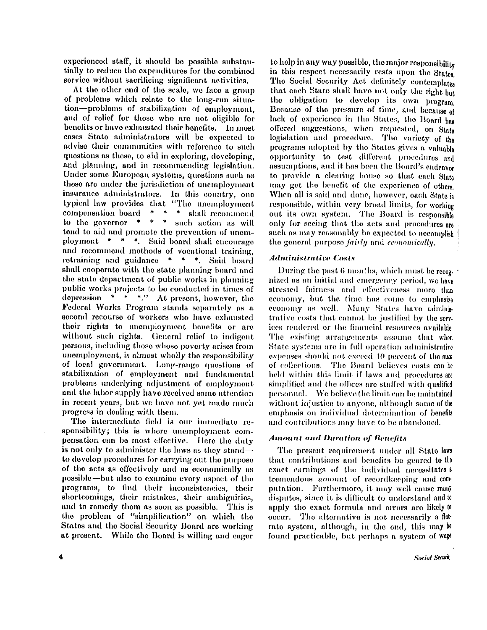**experienced staff, it should be possible substantially to reduce the expenditures for the combined service without sacrificing significant activities.** 

**At the other end of the scale, we face a group of problems which relate to the long-run situation—problems of stabilization of employment, and of relief for those who are not eligible for benefits or have exhausted their benefits. In most cases State administrators will be expected to advise their communities with reference to such questions as these, to aid in exploring, developing, and planning, and in recommending legislation. Under some European systems, questions such as these are under the jurisdiction of unemployment**  insurance administrators. In this country, one **typical law provides that "The unemployment compensation board \* \* \* shall recommend to the governor \* \* \* such action as will tend to aid and promote the prevention of unemployment \* \* \*. Said board shall encourage and recommend methods of vocational training, retraining and guidance \* \* \*. Said board shall cooperate with the state planning board and the state department of public works in planning public works projects to be conducted in times of depression \* \* \*." At present, however, the Federal Works Program stands separately as a second recourse of workers who have exhausted their rights to unemployment benefits or are without such rights. (General relief to indigent persons, including those whose poverty arises from unemployment, is almost wholly the responsibility of local government. Long-range questions of stabilization of employment and fundamental problems underlying adjustment of employment and the labor supply have received some attention in recent years, but we have not yet made much progress in dealing with them.** 

**The intermediate field is our immediate responsibility; this is where unemployment compensation can be most effective. Here the duty is not only to administer the laws as they stand to develop procedures for carrying out the purpose of the acts as effectively and as economically as possible—but also to examine every aspect of the programs, to find their inconsistencies, their shortcomings, their mistakes, their ambiguities, and to remedy them as soon as possible. This is the problem of "simplification" on which the States and the Social Security Board are working at present. While the Board is willing and eager** 

**to help in any way possible, the major responsibility in this respect necessarily rests upon the States. The Social Security Act definitely contemplates that each State shall have not only the right but the obligation to develop its own program. Because of the pressure of time, and because of lack of experience in the States, the Board has offered suggestions, when requested, on State legislation and procedure. The variety of the programs adopted by the States gives a valuable opportunity to test different procedures and assumptions, and it has been the Board's endeavor to provide a clearing house so that each State may get the benefit of the experience of others. When all is said and done, however, each State is responsible, within very broad limits, for working out its own system. The Board is responsible only for seeing that the acts and procedures are such as may reasonably be expected to accomplish the general purpose** *fairly* **and** *economically.* 

# *Administrative Costs*

**During the past 6 months, which must be recognized as an initial and emergency period, we have stressed fairness and effectiveness more than economy, but the time has come to emphasize economy as well. Many States have administrative costs that cannot be justified by the services rendered or the financial resources available. The existing arrangements assume that when State systems are in full operation administrative expenses should not exceed 10 percent of the sum of collections. The Board believes costs can be held within this limit if laws and procedures are simplified and the offices are staffed with qualified personnel. We believe the limit can be maintained without injustice to anyone, although some of the emphasis on individual determination of benefits and contributions may have to be abandoned.** 

## *Amount and Duration of Benefits*

**The present requirement under all State laws that contributions and benefits be geared to the exact earnings of the individual necessitates a tremendous amount of recordkeeping and computation. Furthermore, it may well cause many disputes, since it is difficult to understand and to apply the exact formula and errors are likely to occur. The alternative is not necessarily a flatrate system, although, in the end, this may be found practicable, but perhaps a system of wage**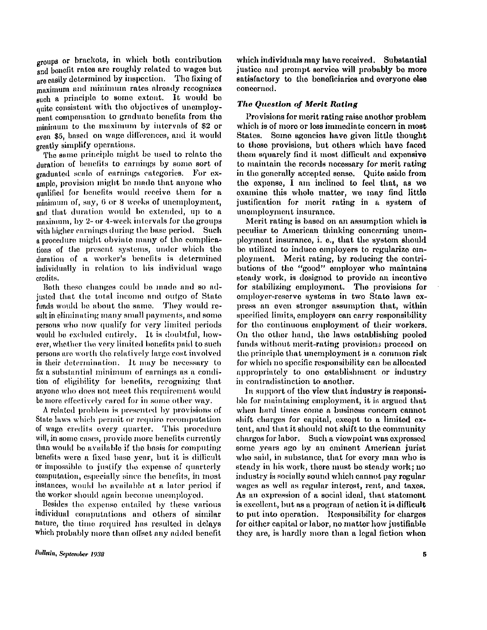**groups or brackets, in which both contribution and benefit rates are roughly related to wages but are easily determined by inspection. The fixing of maximum and minimum rates already recognizes such a principle to some extent. It would be quite consistent with the objectives of unemployment compensation to graduate benefits from the minimum to the maximum by intervals of \$2 or even \$5, based on wage differences, and it would greatly simplify operations.** 

**The same principle might be used to relate the duration of benefits to earnings by some sort of graduated scale of earnings categories. For example, provision might be made that anyone who qualified for benefits would receive them for a minimum of, say, 6 or 8 weeks of unemployment, and that duration would be extended, up to a maximum, by 2- or 4-week intervals for the groups with higher earnings during the base period. Such a procedure might obviate many of the complications of the present systems, under which the duration of a worker's benefits is determined individually in relation to his individual wage credits.** 

**Both these changes could be made and so adjusted that the total income and outgo of State funds would be about the same. They would result in eliminating many small payments, and some persons who now qualify for very limited periods would be excluded entirely. It is doubtful, however, whether the very limited benefits paid to such persons are worth the relatively large cost involved in their determination. It may be necessary to fix a substantial minimum of earnings as a condition of eligibility for benefits, recognizing that anyone who does not meet this requirement would be more effectively cared for in some other way.** 

**A related problem is presented by provisions of State laws which permit or require recomputation of wage credits every quarter. This procedure will, in some coses, provide more benefits currently than would be available if the basis for computing benefits were a fixed base year, but it is difficult or impossible to justify the expense of quarterly computation, especially since the benefits, in most instances, would be available at a later period if the worker should again become unemployed.** 

**Besides the expense entailed by these various individual computations and others of similar nature, the time required has resulted in delays which probably more than offset any added benefit** 

**which individuals may have received. Substantial justice and prompt service will probably be more satisfactory to the beneficiaries and everyone else concerned.** 

### *The Question of Merit Rating*

**Provisions for merit rating raise another problem which is of more or less immediate concern in most**  States. Some agencies have given little thought **to these provisions, but others which have faced them squarely find it most difficult and expensive to maintain the records necessary for merit rating in the generally accepted sense. Quite aside from the expense, I am inclined to feel that, as we examine this whole matter, we may find little justification for merit rating in a system of unemployment insurance.** 

**Merit rating is based on an assumption which is peculiar to American thinking concerning unemployment insurance, i. e., that the system should be utilized to induce employers to regularize employment. Merit rating, by reducing the contributions of the "good" employer who maintains steady work, is designed to provide an incentive for stabilizing employment. The provisions for employer-reserve systems in two State laws express an even stronger assumption that, within specified limits, employers can carry responsibility for the continuous employment of their workers. On the other hand, the laws establishing pooled funds without merit-rating provisions proceed on the principle that unemployment is a common risk for which no specific responsibility can be allocated appropriately to one establishment or industry in contradistinction to another.** 

**In support of the view that industry is responsible for maintaining employment, it is argued that when hard times come a business concern cannot shift charges for capital, except to a limited extent, and that it should not shift to the community charges for labor. Such a viewpoint was expressed some years ago by an eminent American jurist who said, in substance, that for every man who is steady in his work, there must be steady work; no industry is socially sound which cannot pay regular wages as well as regular interest, rent, and taxes. As an expression of a social ideal, that statement is excellent, but as a program of action it is difficult to put into operation. Responsibility for charges for either capital or labor, no matter how justifiable they are, is hardly more than a legal fiction when**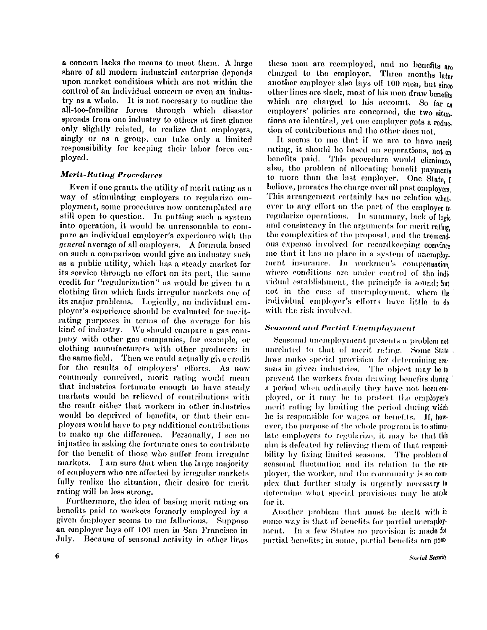**a concern lacks the means to meet them. A large share of all modern industrial enterprise depends upon market conditions which are not within the control of an individual concern or even an industry as a whole. It is not necessary to outline the all-too-familiar forces through which disaster spreads from one industry to others at first glance only slightly related, to realize that employers, singly or as a group, can take only a limited responsibility for keeping their labor force employed.** 

# *Merit-Rating Procedures*

**Even if one grants the utility of merit rating as a way of stimulating employers to regularize employment, some procedures now contemplated are still open to question. In putting such a system into operation, it would be unreasonable to compare an individual employer's experience with the**  *general* **average of all employers. A formula based on such a comparison would give an industry such as a public utility, which has a steady market for its service through no effort on its part, the same credit for "regularization" as would be given to a clothing firm which finds irregular markets one of its major problems. Logically, an individual employer's experience should be evaluated for meritrating purposes in terms of the average for his kind of industry. We should compare a gas company with other gas companies, for example, or clothing manufacturers with other producers in the same field. Then we could actually give credit for the results of employers' efforts. As now commonly conceived, merit rating would mean that industries fortunate enough to have steady markets would be relieved of contributions with the result either that workers in other industries would be deprived of benefits, or that their employers would have to pay additional contributions to make up the difference. Personally, I see no injustice in asking the fortunate ones to contribute for the benefit of those who suffer from irregular markets. I am sure that when the large majority of employers who are affected by irregular markets fully realize the situation, their desire for merit rating will be less strong.** 

**Furthermore, the idea of basing merit rating on benefits paid to workers formerly employed by a given employer seems to me fallacious. Suppose an employer lays off 100 men in San Francisco in July. Because of seasonal activity in other lines**  **these men are reemployed, and no benefits are charged to the employer. Three months later another employer also lays off 100 men, but since other lines are slack, most of his men draw benefits which are charged to his account. So far as employers' policies are concerned, the two situations are identical, yet one employer gets a reduction of contributions and the other does not.** 

**It seems to me that if we are to have merit rating, it should be based on separations, not on benefits paid. This procedure would eliminate, also, the problem of allocating benefit payments to more than the last employer. One State, I believe, prorates the charge over all past employers. This arrangement certainly has no relation whatever to any effort on the part of the employer to regularize operations. In summary, lack of logic and consistency in the arguments for merit rating, the complexities of the proposal, and the tremendous expense involved for recordkeeping convince me that it has no place in a system of unemployment insurance. In workmen's compensation, where conditions are under control of the individual establishment, the principle is sound; but not in the case of unemployment, where the individual employer's efforts have little to do with the risk involved.** 

# *Seasonal and Partial Unemployment*

**Seasonal unemployment presents a problem not unrelated to that of merit rating. Some State laws make special provision for determining seasons in given industries. The object may be to prevent the workers from drawing benefits during a period when ordinarily they have not been employed, or it may be to protect the employer's merit rating by limiting the period during which he is responsible for wages or benefits, if, however, the purpose of the whole program is to stimulate employers to regularize, it may be that this aim is defeated by relieving them of that responsibility by fixing limited seasons. The problem of seasonal fluctuation and its relation to the employer, the worker, and the community is so complex that further study is urgently necessary to determine what special provisions may be made for it.** 

**Another problem that must be dealt with in some way is that of benefits for partial unemployment. In a few States no provision is made for partial benefits; in some, partial benefits are post-**